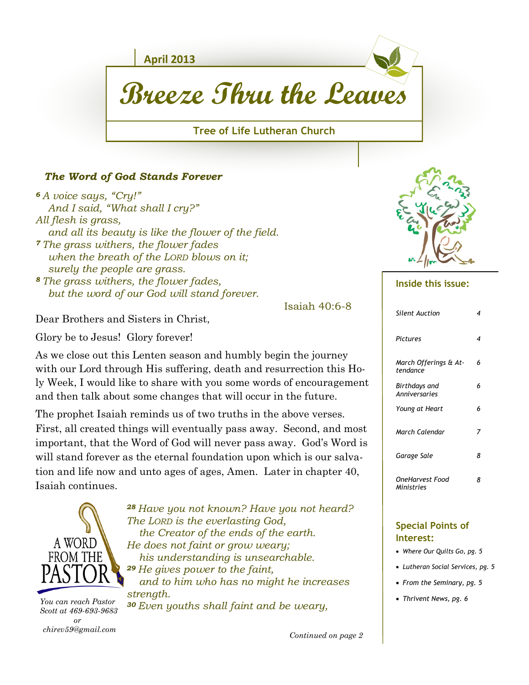

# **Breeze Thru the Leaves**

**Tree of Life Lutheran Church**

#### *The Word of God Stands Forever*

*<sup>6</sup> A voice says, "Cry!" And I said, "What shall I cry?" All flesh is grass, and all its beauty is like the flower of the field. <sup>7</sup> The grass withers, the flower fades when the breath of the LORD blows on it; surely the people are grass. <sup>8</sup> The grass withers, the flower fades, but the word of our God will stand forever.*

Isaiah 40:6-8

Dear Brothers and Sisters in Christ,

Glory be to Jesus! Glory forever!

As we close out this Lenten season and humbly begin the journey with our Lord through His suffering, death and resurrection this Holy Week, I would like to share with you some words of encouragement and then talk about some changes that will occur in the future.

The prophet Isaiah reminds us of two truths in the above verses. First, all created things will eventually pass away. Second, and most important, that the Word of God will never pass away. God's Word is will stand forever as the eternal foundation upon which is our salvation and life now and unto ages of ages, Amen. Later in chapter 40, Isaiah continues.



 *Scott at 469-693-9683 or chirev59@gmail.com*

*<sup>28</sup> Have you not known? Have you not heard? The LORD is the everlasting God, the Creator of the ends of the earth. He does not faint or grow weary; his understanding is unsearchable. <sup>29</sup> He gives power to the faint, and to him who has no might he increases strength. <sup>30</sup> Even youths shall faint and be weary, You can reach Pastor* 



#### **Inside this issue:**

| Silent Auction                    | 4 |
|-----------------------------------|---|
| Pictures                          | 4 |
| March Offerings & At-<br>tendance | 6 |
| Birthdays and<br>Anniversaries    | 6 |
| Young at Heart                    | 6 |
| March Calendar                    | 7 |
| Garage Sale                       | 8 |
| OneHarvest Food<br>Ministries     | 8 |

#### **Special Points of Interest:**

- *Where Our Quilts Go, pg. 5*
- *Lutheran Social Services, pg. 5*
- *From the Seminary, pg. 5*
- *Thrivent News, pg. 6*

*Continued on page 2*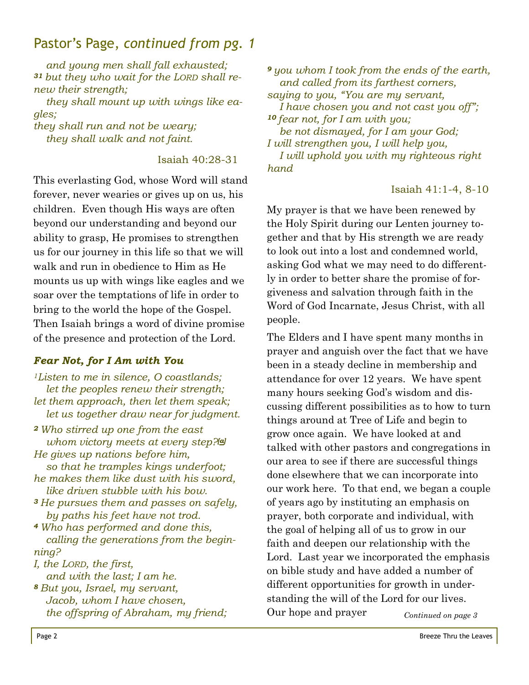# Pastor's Page, *continued from pg. 1*

 *and young men shall fall exhausted; <sup>31</sup> but they who wait for the LORD shall renew their strength;*

 *they shall mount up with wings like eagles;*

*they shall run and not be weary; they shall walk and not faint.*

#### Isaiah 40:28-31

This everlasting God, whose Word will stand forever, never wearies or gives up on us, his children. Even though His ways are often beyond our understanding and beyond our ability to grasp, He promises to strengthen us for our journey in this life so that we will walk and run in obedience to Him as He mounts us up with wings like eagles and we soar over the temptations of life in order to bring to the world the hope of the Gospel. Then Isaiah brings a word of divine promise of the presence and protection of the Lord.

#### *Fear Not, for I Am with You*

*<sup>1</sup>Listen to me in silence, O coastlands; let the peoples renew their strength; let them approach, then let them speak; let us together draw near for judgment.*

*<sup>2</sup> Who stirred up one from the east whom victory meets at every step?[[a\]](http://www.biblegateway.com/passage/?search=Isaiah%2041:%201-10&version=ESV#fen-ESV-18454a) He gives up nations before him,*

 *so that he tramples kings underfoot; he makes them like dust with his sword, like driven stubble with his bow.*

*<sup>3</sup> He pursues them and passes on safely, by paths his feet have not trod.*

*<sup>4</sup> Who has performed and done this, calling the generations from the beginning?*

*I, the LORD, the first, and with the last; I am he. <sup>8</sup> But you, Israel, my servant, Jacob, whom I have chosen, the offspring of Abraham, my friend;*

*<sup>9</sup> you whom I took from the ends of the earth, and called from its farthest corners, saying to you, "You are my servant, I have chosen you and not cast you off"; <sup>10</sup> fear not, for I am with you; be not dismayed, for I am your God; I will strengthen you, I will help you,*

 *I will uphold you with my righteous right hand*

#### Isaiah 41:1-4, 8-10

My prayer is that we have been renewed by the Holy Spirit during our Lenten journey together and that by His strength we are ready to look out into a lost and condemned world, asking God what we may need to do differently in order to better share the promise of forgiveness and salvation through faith in the Word of God Incarnate, Jesus Christ, with all people.

The Elders and I have spent many months in prayer and anguish over the fact that we have been in a steady decline in membership and attendance for over 12 years. We have spent many hours seeking God's wisdom and discussing different possibilities as to how to turn things around at Tree of Life and begin to grow once again. We have looked at and talked with other pastors and congregations in our area to see if there are successful things done elsewhere that we can incorporate into our work here. To that end, we began a couple of years ago by instituting an emphasis on prayer, both corporate and individual, with the goal of helping all of us to grow in our faith and deepen our relationship with the Lord. Last year we incorporated the emphasis on bible study and have added a number of different opportunities for growth in understanding the will of the Lord for our lives. Our hope and prayer

*Continued on page 3*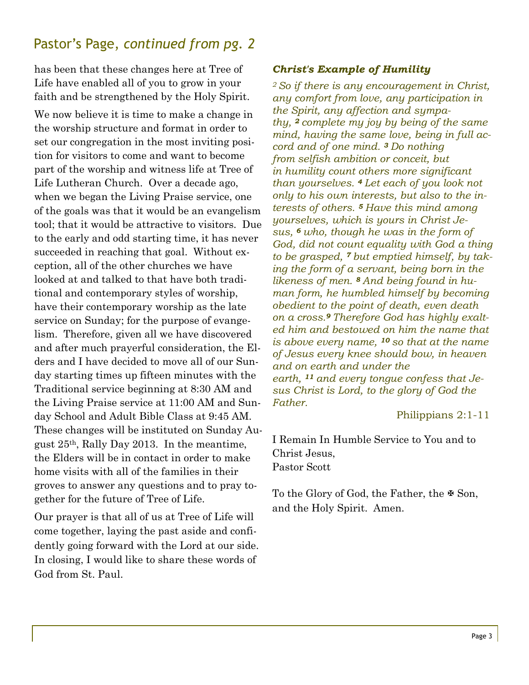# Pastor's Page, *continued from pg. 2*

has been that these changes here at Tree of Life have enabled all of you to grow in your faith and be strengthened by the Holy Spirit.

We now believe it is time to make a change in the worship structure and format in order to set our congregation in the most inviting position for visitors to come and want to become part of the worship and witness life at Tree of Life Lutheran Church. Over a decade ago, when we began the Living Praise service, one of the goals was that it would be an evangelism tool; that it would be attractive to visitors. Due to the early and odd starting time, it has never succeeded in reaching that goal. Without exception, all of the other churches we have looked at and talked to that have both traditional and contemporary styles of worship, have their contemporary worship as the late service on Sunday; for the purpose of evangelism. Therefore, given all we have discovered and after much prayerful consideration, the Elders and I have decided to move all of our Sunday starting times up fifteen minutes with the Traditional service beginning at 8:30 AM and the Living Praise service at 11:00 AM and Sunday School and Adult Bible Class at 9:45 AM. These changes will be instituted on Sunday August 25th, Rally Day 2013. In the meantime, the Elders will be in contact in order to make home visits with all of the families in their groves to answer any questions and to pray together for the future of Tree of Life.

Our prayer is that all of us at Tree of Life will come together, laying the past aside and confidently going forward with the Lord at our side. In closing, I would like to share these words of God from St. Paul.

#### *Christ's Example of Humility*

*<sup>2</sup> So if there is any encouragement in Christ, any comfort from love, any participation in the Spirit, any affection and sympathy, <sup>2</sup> complete my joy by being of the same mind, having the same love, being in full accord and of one mind. <sup>3</sup> Do nothing from selfish ambition or conceit, but in humility count others more significant than yourselves. <sup>4</sup> Let each of you look not only to his own interests, but also to the interests of others. <sup>5</sup> Have this mind among yourselves, which is yours in Christ Jesus, <sup>6</sup> who, though he was in the form of God, did not count equality with God a thing to be grasped, <sup>7</sup> but emptied himself, by taking the form of a servant, being born in the likeness of men. <sup>8</sup> And being found in human form, he humbled himself by becoming obedient to the point of death, even death on a cross.<sup>9</sup> Therefore God has highly exalted him and bestowed on him the name that is above every name, <sup>10</sup> so that at the name of Jesus every knee should bow, in heaven and on earth and under the earth, <sup>11</sup> and every tongue confess that Jesus Christ is Lord, to the glory of God the Father.*

#### Philippians 2:1-11

I Remain In Humble Service to You and to Christ Jesus, Pastor Scott

To the Glory of God, the Father, the  $\mathcal{F}$  Son, and the Holy Spirit. Amen.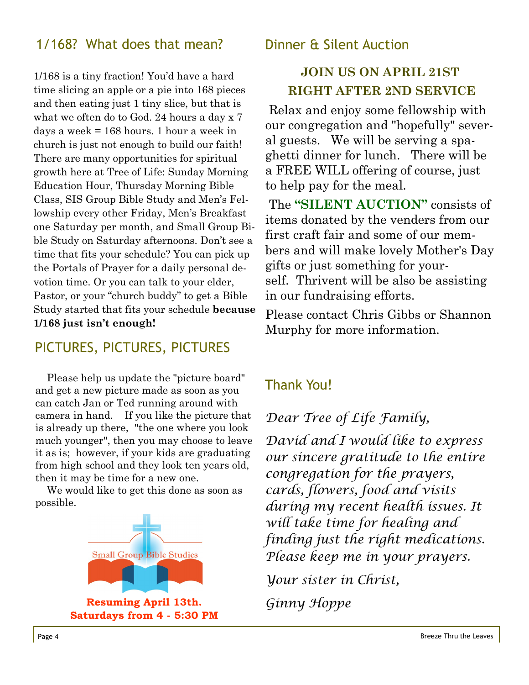# 1/168? What does that mean? Dinner & Silent Auction

1/168 is a tiny fraction! You'd have a hard time slicing an apple or a pie into 168 pieces and then eating just 1 tiny slice, but that is what we often do to God. 24 hours a day x 7 days a week = 168 hours. 1 hour a week in church is just not enough to build our faith! There are many opportunities for spiritual growth here at Tree of Life: Sunday Morning Education Hour, Thursday Morning Bible Class, SIS Group Bible Study and Men's Fellowship every other Friday, Men's Breakfast one Saturday per month, and Small Group Bible Study on Saturday afternoons. Don't see a time that fits your schedule? You can pick up the Portals of Prayer for a daily personal devotion time. Or you can talk to your elder, Pastor, or your "church buddy" to get a Bible Study started that fits your schedule **because 1/168 just isn't enough!**

# PICTURES, PICTURES, PICTURES

 Please help us update the "picture board" and get a new picture made as soon as you can catch Jan or Ted running around with camera in hand. If you like the picture that is already up there, "the one where you look much younger", then you may choose to leave it as is; however, if your kids are graduating from high school and they look ten years old, then it may be time for a new one.

 We would like to get this done as soon as possible.



# **JOIN US ON APRIL 21ST RIGHT AFTER 2ND SERVICE**

Relax and enjoy some fellowship with our congregation and "hopefully" several guests. We will be serving a spaghetti dinner for lunch. There will be a FREE WILL offering of course, just to help pay for the meal.

The **"SILENT AUCTION"** consists of items donated by the venders from our first craft fair and some of our members and will make lovely Mother's Day gifts or just something for yourself. Thrivent will be also be assisting in our fundraising efforts.

Please contact Chris Gibbs or Shannon Murphy for more information.

# Thank You!

# *Dear Tree of Life Family,*

*David and I would like to express our sincere gratitude to the entire congregation for the prayers, cards, flowers, food and visits during my recent health issues. It will take time for healing and finding just the right medications. Please keep me in your prayers.*

*Your sister in Christ, Ginny Hoppe*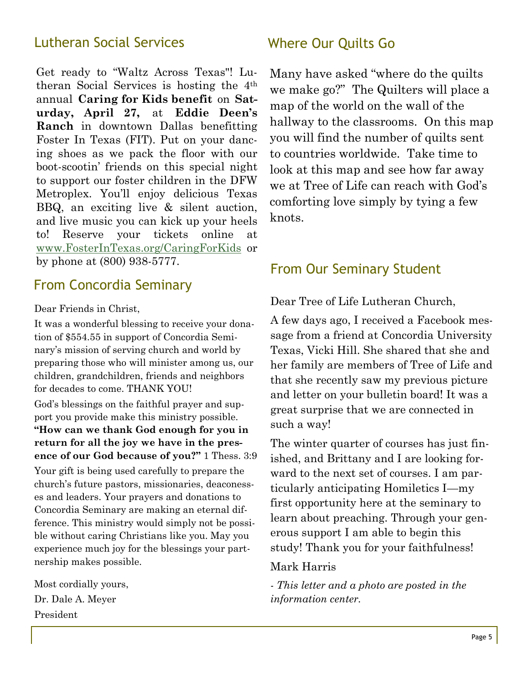# Lutheran Social Services

Get ready to "Waltz Across Texas"! Lutheran Social Services is hosting the 4th annual **Caring for Kids benefit** on **Saturday, April 27,** at **Eddie Deen's Ranch** in downtown Dallas benefitting Foster In Texas (FIT). Put on your dancing shoes as we pack the floor with our boot-scootin' friends on this special night to support our foster children in the DFW Metroplex. You'll enjoy delicious Texas BBQ, an exciting live & silent auction, and live music you can kick up your heels to! Reserve your tickets online at [www.FosterInTexas.org/CaringForKids](https://www.lsss.org/page.redir?target=http%3a%2f%2fwww.FosterInTexas.org%2fCaringForKids&srcid=7637&srctid=1&erid=318580&trid=5cd737f5-22c1-4431-9834-027ca5cf3163) or by phone at (800) 938-5777.

# From Concordia Seminary

Dear Friends in Christ,

It was a wonderful blessing to receive your donation of \$554.55 in support of Concordia Seminary's mission of serving church and world by preparing those who will minister among us, our children, grandchildren, friends and neighbors for decades to come. THANK YOU!

God's blessings on the faithful prayer and support you provide make this ministry possible. **"How can we thank God enough for you in return for all the joy we have in the presence of our God because of you?"** 1 Thess. 3:9 Your gift is being used carefully to prepare the church's future pastors, missionaries, deaconesses and leaders. Your prayers and donations to Concordia Seminary are making an eternal difference. This ministry would simply not be possible without caring Christians like you. May you experience much joy for the blessings your partnership makes possible.

Most cordially yours, Dr. Dale A. Meyer President

# Where Our Quilts Go

Many have asked "where do the quilts we make go?" The Quilters will place a map of the world on the wall of the hallway to the classrooms. On this map you will find the number of quilts sent to countries worldwide. Take time to look at this map and see how far away we at Tree of Life can reach with God's comforting love simply by tying a few knots.

# From Our Seminary Student

Dear Tree of Life Lutheran Church,

A few days ago, I received a Facebook message from a friend at Concordia University Texas, Vicki Hill. She shared that she and her family are members of Tree of Life and that she recently saw my previous picture and letter on your bulletin board! It was a great surprise that we are connected in such a way!

The winter quarter of courses has just finished, and Brittany and I are looking forward to the next set of courses. I am particularly anticipating Homiletics I—my first opportunity here at the seminary to learn about preaching. Through your generous support I am able to begin this study! Thank you for your faithfulness!

#### Mark Harris

*- This letter and a photo are posted in the information center.*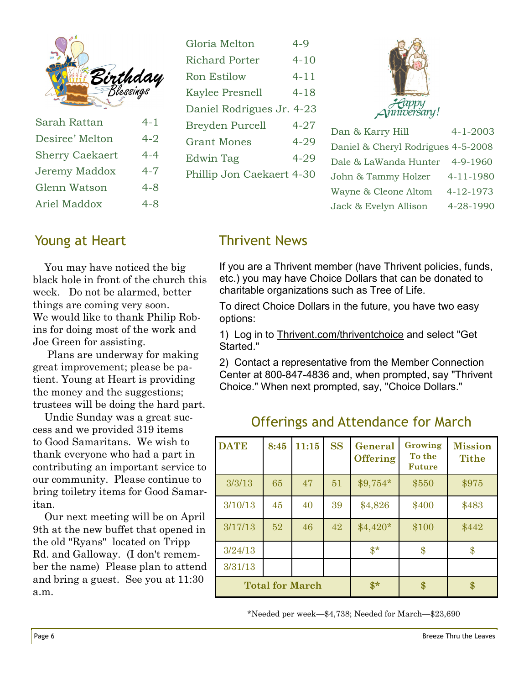|              | <b>Birthday</b><br>Elessings |
|--------------|------------------------------|
| Sarah Rattan | 4-1                          |
|              |                              |

| Desiree' Melton        | $4 - 2$ |
|------------------------|---------|
| <b>Sherry Caekaert</b> | 4-4     |
| Jeremy Maddox          | 4-7     |
| Glenn Watson           | $4 - 8$ |
| Ariel Maddox           | 4-8     |

# Young at Heart

 You may have noticed the big black hole in front of the church this week. Do not be alarmed, better things are coming very soon. We would like to thank Philip Robins for doing most of the work and Joe Green for assisting.

 Plans are underway for making great improvement; please be patient. Young at Heart is providing the money and the suggestions; trustees will be doing the hard part.

 Undie Sunday was a great success and we provided 319 items to Good Samaritans. We wish to thank everyone who had a part in contributing an important service to our community. Please continue to bring toiletry items for Good Samaritan.

 Our next meeting will be on April 9th at the new buffet that opened in the old "Ryans" located on Tripp Rd. and Galloway. (I don't remember the name) Please plan to attend and bring a guest. See you at 11:30 a.m.

| Gloria Melton             | $4 - 9$  |
|---------------------------|----------|
| <b>Richard Porter</b>     | 4-10     |
| Ron Estilow               | $4 - 11$ |
| <b>Kaylee Presnell</b>    | 4-18     |
| Daniel Rodrigues Jr. 4-23 |          |
| Breyden Purcell           | 4-27     |
| <b>Grant Mones</b>        | $4 - 29$ |
| Edwin Tag                 | 4-29     |
| Phillip Jon Caekaert 4-30 |          |



| Dan & Karry Hill                   | $4 - 1 - 2003$ |
|------------------------------------|----------------|
| Daniel & Cheryl Rodrigues 4-5-2008 |                |
| Dale & LaWanda Hunter              | $4 - 9 - 1960$ |
| John & Tammy Holzer                | 4-11-1980      |
| Wayne & Cleone Altom               | 4-12-1973      |
| Jack & Evelyn Allison              | 4-28-1990      |

# Thrivent News

If you are a Thrivent member (have Thrivent policies, funds, etc.) you may have Choice Dollars that can be donated to charitable organizations such as Tree of Life.

To direct Choice Dollars in the future, you have two easy options:

1) Log in to [Thrivent.com/thriventchoice](http://sitelinkers.thrivent.com/id_b6affd5178c0_13cb01/) and select "Get Started."

2) Contact a representative from the Member Connection Center at 800-847-4836 and, when prompted, say "Thrivent Choice." When next prompted, say, "Choice Dollars."

| <b>DATE</b>            | 8:45 | 11:15 | <b>SS</b> | General<br><b>Offering</b> | Growing<br>To the<br><b>Future</b> | <b>Mission</b><br><b>Tithe</b> |
|------------------------|------|-------|-----------|----------------------------|------------------------------------|--------------------------------|
| 3/3/13                 | 65   | 47    | 51        | $$9,754*$                  | \$550                              | \$975                          |
| 3/10/13                | 45   | 40    | 39        | \$4,826                    | \$400                              | \$483                          |
| 3/17/13                | 52   | 46    | 42        | $$4,420*$                  | \$100                              | \$442                          |
| 3/24/13                |      |       |           | $\mathbf{\$}^*$            | \$                                 | \$                             |
| 3/31/13                |      |       |           |                            |                                    |                                |
| <b>Total for March</b> |      |       | $$*$      | \$                         | \$                                 |                                |

# Offerings and Attendance for March

\*Needed per week—\$4,738; Needed for March—\$23,690